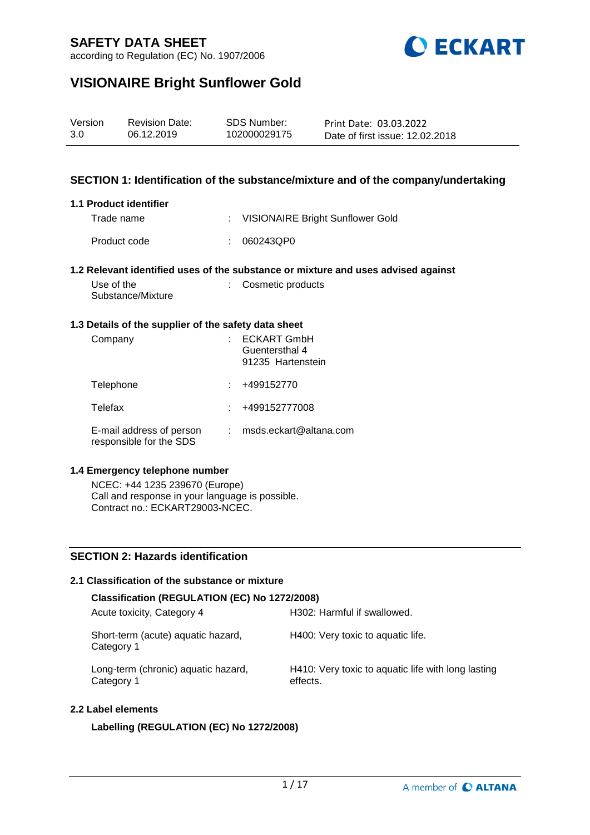

according to Regulation (EC) No. 1907/2006

# **VISIONAIRE Bright Sunflower Gold**

| Version | <b>Revision Date:</b> | SDS Number:  | Print Date: 03.03.2022          |
|---------|-----------------------|--------------|---------------------------------|
| 3.0     | 06.12.2019            | 102000029175 | Date of first issue: 12.02.2018 |

## **SECTION 1: Identification of the substance/mixture and of the company/undertaking**

### **1.1 Product identifier**

Trade name : VISIONAIRE Bright Sunflower Gold Product code : 060243QP0

#### **1.2 Relevant identified uses of the substance or mixture and uses advised against**

| Use of the        | : Cosmetic products |
|-------------------|---------------------|
| Substance/Mixture |                     |

### **1.3 Details of the supplier of the safety data sheet**

| Company                                             | <b>ECKART GmbH</b><br>Guentersthal 4<br>91235 Hartenstein |
|-----------------------------------------------------|-----------------------------------------------------------|
| Telephone                                           | +499152770                                                |
| Telefax                                             | +499152777008                                             |
| E-mail address of person<br>responsible for the SDS | msds.eckart@altana.com                                    |

#### **1.4 Emergency telephone number**

NCEC: +44 1235 239670 (Europe) Call and response in your language is possible. Contract no.: ECKART29003-NCEC.

## **SECTION 2: Hazards identification**

## **2.1 Classification of the substance or mixture**

| Classification (REGULATION (EC) No 1272/2008)     |                                                                |
|---------------------------------------------------|----------------------------------------------------------------|
| Acute toxicity, Category 4                        | H302: Harmful if swallowed.                                    |
| Short-term (acute) aquatic hazard,<br>Category 1  | H400: Very toxic to aquatic life.                              |
| Long-term (chronic) aquatic hazard,<br>Category 1 | H410: Very toxic to aquatic life with long lasting<br>effects. |

#### **2.2 Label elements**

### **Labelling (REGULATION (EC) No 1272/2008)**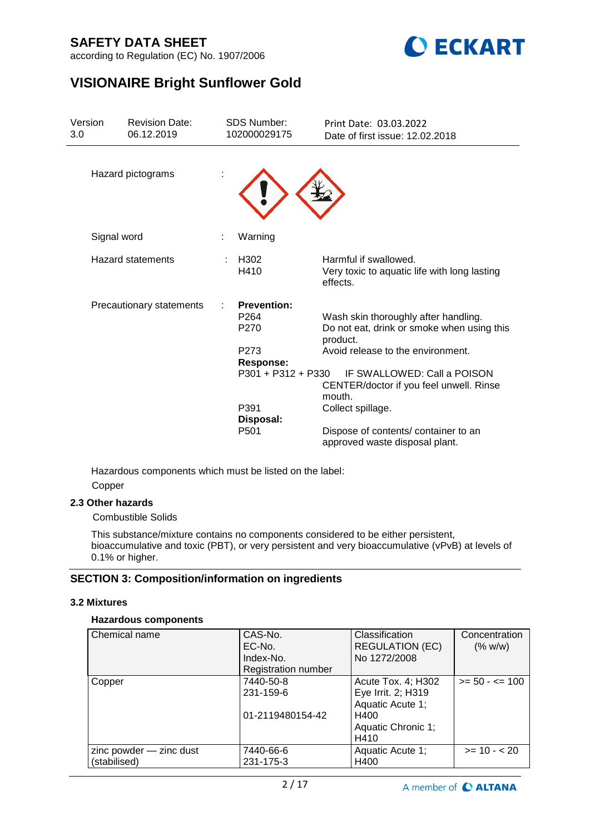

according to Regulation (EC) No. 1907/2006

# **VISIONAIRE Bright Sunflower Gold**

| Version<br>3.0 | <b>Revision Date:</b><br>06.12.2019 | <b>SDS Number:</b><br>102000029175                                                                      | Print Date: 03.03.2022<br>Date of first issue: 12.02.2018                                                                                                                                                               |
|----------------|-------------------------------------|---------------------------------------------------------------------------------------------------------|-------------------------------------------------------------------------------------------------------------------------------------------------------------------------------------------------------------------------|
|                | Hazard pictograms                   |                                                                                                         |                                                                                                                                                                                                                         |
|                | Signal word                         | Warning                                                                                                 |                                                                                                                                                                                                                         |
|                | Hazard statements                   | H <sub>302</sub><br>H410                                                                                | Harmful if swallowed.<br>Very toxic to aquatic life with long lasting<br>effects.                                                                                                                                       |
|                | Precautionary statements            | <b>Prevention:</b><br>P <sub>264</sub><br>P <sub>270</sub><br>P273<br>Response:<br>$P301 + P312 + P330$ | Wash skin thoroughly after handling.<br>Do not eat, drink or smoke when using this<br>product.<br>Avoid release to the environment.<br>IF SWALLOWED: Call a POISON<br>CENTER/doctor if you feel unwell. Rinse<br>mouth. |
|                |                                     | P391<br>Disposal:<br>P <sub>501</sub>                                                                   | Collect spillage.<br>Dispose of contents/ container to an<br>approved waste disposal plant.                                                                                                                             |

Hazardous components which must be listed on the label: Copper

## **2.3 Other hazards**

Combustible Solids

This substance/mixture contains no components considered to be either persistent, bioaccumulative and toxic (PBT), or very persistent and very bioaccumulative (vPvB) at levels of 0.1% or higher.

## **SECTION 3: Composition/information on ingredients**

## **3.2 Mixtures**

### **Hazardous components**

| Chemical name           | CAS-No.                    | Classification         | Concentration     |
|-------------------------|----------------------------|------------------------|-------------------|
|                         | EC-No.                     | <b>REGULATION (EC)</b> | (% w/w)           |
|                         | Index-No.                  | No 1272/2008           |                   |
|                         | <b>Registration number</b> |                        |                   |
| Copper                  | 7440-50-8                  | Acute Tox. 4; H302     | $>= 50 - 5 = 100$ |
|                         | 231-159-6                  | Eye Irrit. 2; H319     |                   |
|                         |                            | Aquatic Acute 1;       |                   |
|                         | 01-2119480154-42           | H400                   |                   |
|                         |                            | Aquatic Chronic 1;     |                   |
|                         |                            | H410                   |                   |
| zinc powder - zinc dust | 7440-66-6                  | Aquatic Acute 1;       | $>= 10 - 20$      |
| (stabilised)            | 231-175-3                  | H400                   |                   |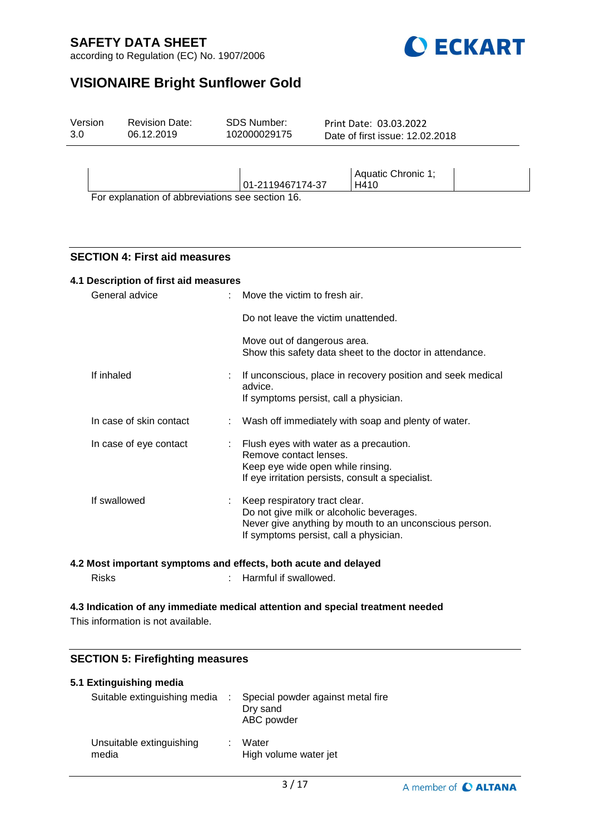

according to Regulation (EC) No. 1907/2006

# **VISIONAIRE Bright Sunflower Gold**

| Version | <b>Revision Date:</b> | <b>SDS Number:</b>                | Print Date: 03.03.2022          |
|---------|-----------------------|-----------------------------------|---------------------------------|
| 3.0     | 06.12.2019            | 102000029175                      | Date of first issue: 12.02.2018 |
|         | . .<br>$\sim$ $\sim$  | 01-2119467174-37<br>$\sim$ $\sim$ | Aquatic Chronic 1;<br>H410      |

For explanation of abbreviations see section 16.

## **SECTION 4: First aid measures**

# **4.1 Description of first aid measures** General advice : Move the victim to fresh air. Do not leave the victim unattended. Move out of dangerous area. Show this safety data sheet to the doctor in attendance. If inhaled : If unconscious, place in recovery position and seek medical advice. If symptoms persist, call a physician. In case of skin contact : Wash off immediately with soap and plenty of water. In case of eye contact : Flush eyes with water as a precaution. Remove contact lenses. Keep eye wide open while rinsing. If eye irritation persists, consult a specialist. If swallowed : Keep respiratory tract clear. Do not give milk or alcoholic beverages. Never give anything by mouth to an unconscious person. If symptoms persist, call a physician.

### **4.2 Most important symptoms and effects, both acute and delayed**

| <b>Risks</b> | Harmful if swallowed. |
|--------------|-----------------------|
|              |                       |

# **4.3 Indication of any immediate medical attention and special treatment needed**

This information is not available.

## **SECTION 5: Firefighting measures**

### **5.1 Extinguishing media** Suitable extinguishing media : Special powder against metal fire Dry sand

|                                   | ABC powder                       |
|-----------------------------------|----------------------------------|
| Unsuitable extinguishing<br>media | : Water<br>High volume water jet |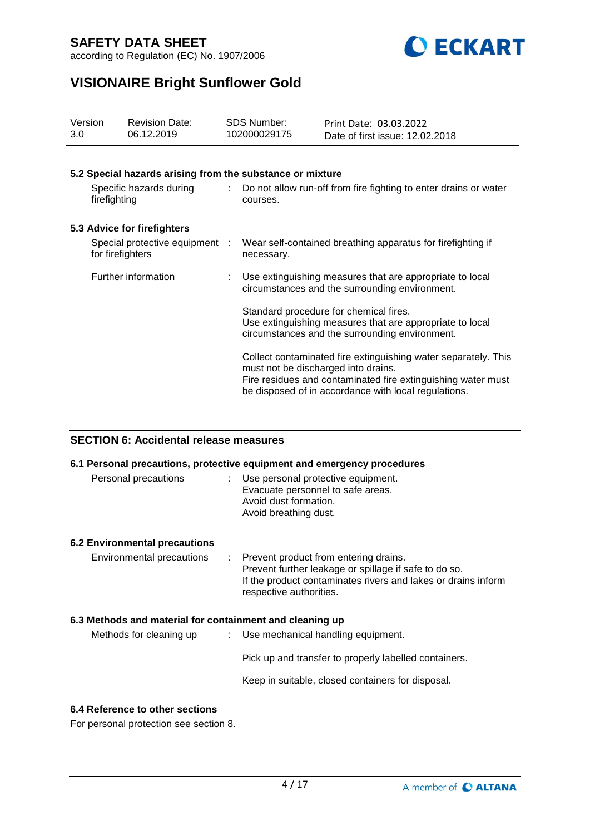

according to Regulation (EC) No. 1907/2006

# **VISIONAIRE Bright Sunflower Gold**

| Version<br>3.0                          |                                                    | <b>Revision Date:</b><br>06.12.2019                       |                                                                              | <b>SDS Number:</b><br>102000029175                                                                                                                                                     | Print Date: 03.03.2022<br>Date of first issue: 12.02.2018 |  |
|-----------------------------------------|----------------------------------------------------|-----------------------------------------------------------|------------------------------------------------------------------------------|----------------------------------------------------------------------------------------------------------------------------------------------------------------------------------------|-----------------------------------------------------------|--|
|                                         |                                                    | 5.2 Special hazards arising from the substance or mixture |                                                                              |                                                                                                                                                                                        |                                                           |  |
| Specific hazards during<br>firefighting |                                                    | ÷.                                                        | Do not allow run-off from fire fighting to enter drains or water<br>courses. |                                                                                                                                                                                        |                                                           |  |
|                                         |                                                    | 5.3 Advice for firefighters                               |                                                                              |                                                                                                                                                                                        |                                                           |  |
|                                         | Special protective equipment :<br>for firefighters |                                                           |                                                                              | Wear self-contained breathing apparatus for firefighting if<br>necessary.                                                                                                              |                                                           |  |
| Further information                     |                                                    |                                                           |                                                                              | Use extinguishing measures that are appropriate to local<br>circumstances and the surrounding environment.                                                                             |                                                           |  |
|                                         |                                                    |                                                           |                                                                              | Standard procedure for chemical fires.<br>Use extinguishing measures that are appropriate to local<br>circumstances and the surrounding environment.                                   |                                                           |  |
|                                         |                                                    |                                                           | must not be discharged into drains.                                          | Collect contaminated fire extinguishing water separately. This<br>Fire residues and contaminated fire extinguishing water must<br>be disposed of in accordance with local regulations. |                                                           |  |

## **SECTION 6: Accidental release measures**

|                                                          | 6.1 Personal precautions, protective equipment and emergency procedures                                                                                                                      |
|----------------------------------------------------------|----------------------------------------------------------------------------------------------------------------------------------------------------------------------------------------------|
| Personal precautions                                     | : Use personal protective equipment.<br>Evacuate personnel to safe areas.<br>Avoid dust formation.<br>Avoid breathing dust.                                                                  |
| <b>6.2 Environmental precautions</b>                     |                                                                                                                                                                                              |
| Environmental precautions                                | : Prevent product from entering drains.<br>Prevent further leakage or spillage if safe to do so.<br>If the product contaminates rivers and lakes or drains inform<br>respective authorities. |
| 6.3 Methods and material for containment and cleaning up |                                                                                                                                                                                              |
| Methods for cleaning up                                  | $\therefore$ Use mechanical handling equipment.                                                                                                                                              |
|                                                          | Pick up and transfer to properly labelled containers.                                                                                                                                        |
|                                                          | Keep in suitable, closed containers for disposal.                                                                                                                                            |
| 6.4 Reference to other sections                          |                                                                                                                                                                                              |

For personal protection see section 8.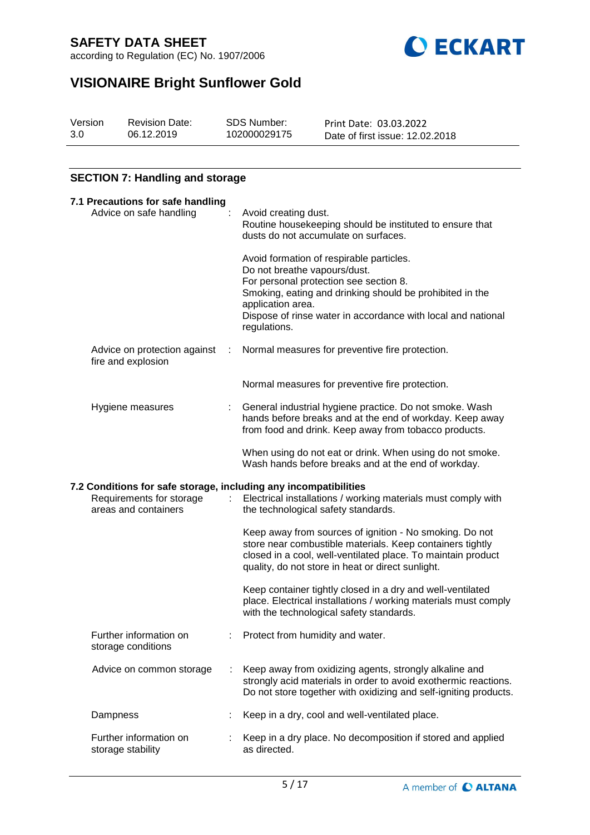according to Regulation (EC) No. 1907/2006



# **VISIONAIRE Bright Sunflower Gold**

| Version | <b>Revision Date:</b> | SDS Number:  | Print Date: 03.03.2022          |
|---------|-----------------------|--------------|---------------------------------|
| 3.0     | 06.12.2019            | 102000029175 | Date of first issue: 12.02.2018 |

# **SECTION 7: Handling and storage**

| 7.1 Precautions for safe handling                                                                                    |  |                                                                                                                                                                                                                                                                                     |
|----------------------------------------------------------------------------------------------------------------------|--|-------------------------------------------------------------------------------------------------------------------------------------------------------------------------------------------------------------------------------------------------------------------------------------|
| Advice on safe handling                                                                                              |  | Avoid creating dust.<br>Routine housekeeping should be instituted to ensure that<br>dusts do not accumulate on surfaces.                                                                                                                                                            |
|                                                                                                                      |  | Avoid formation of respirable particles.<br>Do not breathe vapours/dust.<br>For personal protection see section 8.<br>Smoking, eating and drinking should be prohibited in the<br>application area.<br>Dispose of rinse water in accordance with local and national<br>regulations. |
| Advice on protection against<br>fire and explosion                                                                   |  | Normal measures for preventive fire protection.                                                                                                                                                                                                                                     |
|                                                                                                                      |  | Normal measures for preventive fire protection.                                                                                                                                                                                                                                     |
| Hygiene measures                                                                                                     |  | General industrial hygiene practice. Do not smoke. Wash<br>hands before breaks and at the end of workday. Keep away<br>from food and drink. Keep away from tobacco products.                                                                                                        |
|                                                                                                                      |  | When using do not eat or drink. When using do not smoke.<br>Wash hands before breaks and at the end of workday.                                                                                                                                                                     |
| 7.2 Conditions for safe storage, including any incompatibilities<br>Requirements for storage<br>areas and containers |  | Electrical installations / working materials must comply with<br>the technological safety standards.                                                                                                                                                                                |
|                                                                                                                      |  | Keep away from sources of ignition - No smoking. Do not<br>store near combustible materials. Keep containers tightly<br>closed in a cool, well-ventilated place. To maintain product<br>quality, do not store in heat or direct sunlight.                                           |
|                                                                                                                      |  | Keep container tightly closed in a dry and well-ventilated<br>place. Electrical installations / working materials must comply<br>with the technological safety standards.                                                                                                           |
| Further information on<br>storage conditions                                                                         |  | Protect from humidity and water.                                                                                                                                                                                                                                                    |
| Advice on common storage                                                                                             |  | Keep away from oxidizing agents, strongly alkaline and<br>strongly acid materials in order to avoid exothermic reactions.<br>Do not store together with oxidizing and self-igniting products.                                                                                       |
| Dampness                                                                                                             |  | Keep in a dry, cool and well-ventilated place.                                                                                                                                                                                                                                      |
| Further information on<br>storage stability                                                                          |  | Keep in a dry place. No decomposition if stored and applied<br>as directed.                                                                                                                                                                                                         |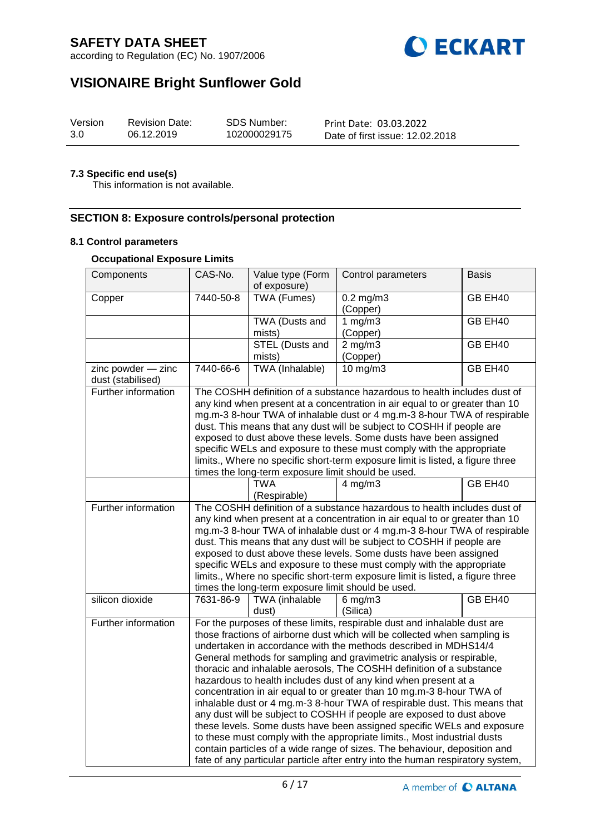



# **VISIONAIRE Bright Sunflower Gold**

| Version | <b>Revision Date:</b> | <b>SDS Number:</b> | Print Date: 03.03.2022          |
|---------|-----------------------|--------------------|---------------------------------|
| 3.0     | 06.12.2019            | 102000029175       | Date of first issue: 12.02.2018 |

### **7.3 Specific end use(s)**

This information is not available.

## **SECTION 8: Exposure controls/personal protection**

#### **8.1 Control parameters**

### **Occupational Exposure Limits**

| Components                              | CAS-No.                                                                                                                                                                                                                                                                                                                                                                                                                                                                                                                                                                                                                                                                                                                                                                                                                                                                                                                                                                                         | Value type (Form<br>of exposure) | Control parameters           | <b>Basis</b> |  |
|-----------------------------------------|-------------------------------------------------------------------------------------------------------------------------------------------------------------------------------------------------------------------------------------------------------------------------------------------------------------------------------------------------------------------------------------------------------------------------------------------------------------------------------------------------------------------------------------------------------------------------------------------------------------------------------------------------------------------------------------------------------------------------------------------------------------------------------------------------------------------------------------------------------------------------------------------------------------------------------------------------------------------------------------------------|----------------------------------|------------------------------|--------------|--|
| Copper                                  | 7440-50-8                                                                                                                                                                                                                                                                                                                                                                                                                                                                                                                                                                                                                                                                                                                                                                                                                                                                                                                                                                                       | <b>TWA (Fumes)</b>               | $0.2$ mg/m $3$<br>(Copper)   | GB EH40      |  |
|                                         |                                                                                                                                                                                                                                                                                                                                                                                                                                                                                                                                                                                                                                                                                                                                                                                                                                                                                                                                                                                                 | TWA (Dusts and<br>mists)         | 1 $mg/m3$<br>(Copper)        | GB EH40      |  |
|                                         |                                                                                                                                                                                                                                                                                                                                                                                                                                                                                                                                                                                                                                                                                                                                                                                                                                                                                                                                                                                                 | <b>STEL (Dusts and</b><br>mists) | $2 \text{ mg/m}$<br>(Copper) | GB EH40      |  |
| zinc powder - zinc<br>dust (stabilised) | 7440-66-6                                                                                                                                                                                                                                                                                                                                                                                                                                                                                                                                                                                                                                                                                                                                                                                                                                                                                                                                                                                       | TWA (Inhalable)                  | $10 \text{ mg/m}$            | GB EH40      |  |
| Further information                     | The COSHH definition of a substance hazardous to health includes dust of<br>any kind when present at a concentration in air equal to or greater than 10<br>mg.m-3 8-hour TWA of inhalable dust or 4 mg.m-3 8-hour TWA of respirable<br>dust. This means that any dust will be subject to COSHH if people are<br>exposed to dust above these levels. Some dusts have been assigned<br>specific WELs and exposure to these must comply with the appropriate<br>limits., Where no specific short-term exposure limit is listed, a figure three<br>times the long-term exposure limit should be used.                                                                                                                                                                                                                                                                                                                                                                                               |                                  |                              |              |  |
|                                         |                                                                                                                                                                                                                                                                                                                                                                                                                                                                                                                                                                                                                                                                                                                                                                                                                                                                                                                                                                                                 | <b>TWA</b><br>(Respirable)       | $4$ mg/m $3$                 | GB EH40      |  |
| Further information                     | The COSHH definition of a substance hazardous to health includes dust of<br>any kind when present at a concentration in air equal to or greater than 10<br>mg.m-3 8-hour TWA of inhalable dust or 4 mg.m-3 8-hour TWA of respirable<br>dust. This means that any dust will be subject to COSHH if people are<br>exposed to dust above these levels. Some dusts have been assigned<br>specific WELs and exposure to these must comply with the appropriate<br>limits., Where no specific short-term exposure limit is listed, a figure three<br>times the long-term exposure limit should be used.                                                                                                                                                                                                                                                                                                                                                                                               |                                  |                              |              |  |
| silicon dioxide                         | 7631-86-9                                                                                                                                                                                                                                                                                                                                                                                                                                                                                                                                                                                                                                                                                                                                                                                                                                                                                                                                                                                       | <b>TWA</b> (inhalable<br>dust)   | $6$ mg/m $3$<br>(Silica)     | GB EH40      |  |
| Further information                     | For the purposes of these limits, respirable dust and inhalable dust are<br>those fractions of airborne dust which will be collected when sampling is<br>undertaken in accordance with the methods described in MDHS14/4<br>General methods for sampling and gravimetric analysis or respirable,<br>thoracic and inhalable aerosols, The COSHH definition of a substance<br>hazardous to health includes dust of any kind when present at a<br>concentration in air equal to or greater than 10 mg.m-3 8-hour TWA of<br>inhalable dust or 4 mg.m-3 8-hour TWA of respirable dust. This means that<br>any dust will be subject to COSHH if people are exposed to dust above<br>these levels. Some dusts have been assigned specific WELs and exposure<br>to these must comply with the appropriate limits., Most industrial dusts<br>contain particles of a wide range of sizes. The behaviour, deposition and<br>fate of any particular particle after entry into the human respiratory system, |                                  |                              |              |  |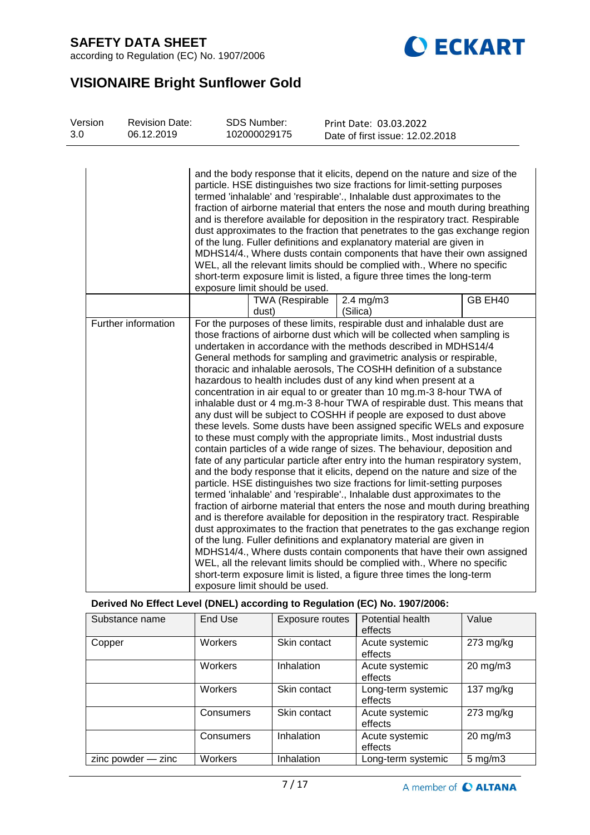



# **VISIONAIRE Bright Sunflower Gold**

| Version<br>3.0 | <b>Revision Date:</b><br>06.12.2019 |                                | <b>SDS Number:</b><br>102000029175 |                        | Print Date: 03.03.2022<br>Date of first issue: 12.02.2018                                                                                                                                                                                                                                                                                                                                                                                                                                                                                                                                                                                                                                                                                                                                                                                                                                                                                                                                                                                                                                                                                                                                                                                                                                                                                                                                                                                                                                                                                                                                                                                                                                                                                                                                            |         |
|----------------|-------------------------------------|--------------------------------|------------------------------------|------------------------|------------------------------------------------------------------------------------------------------------------------------------------------------------------------------------------------------------------------------------------------------------------------------------------------------------------------------------------------------------------------------------------------------------------------------------------------------------------------------------------------------------------------------------------------------------------------------------------------------------------------------------------------------------------------------------------------------------------------------------------------------------------------------------------------------------------------------------------------------------------------------------------------------------------------------------------------------------------------------------------------------------------------------------------------------------------------------------------------------------------------------------------------------------------------------------------------------------------------------------------------------------------------------------------------------------------------------------------------------------------------------------------------------------------------------------------------------------------------------------------------------------------------------------------------------------------------------------------------------------------------------------------------------------------------------------------------------------------------------------------------------------------------------------------------------|---------|
|                |                                     | exposure limit should be used. |                                    |                        | and the body response that it elicits, depend on the nature and size of the<br>particle. HSE distinguishes two size fractions for limit-setting purposes<br>termed 'inhalable' and 'respirable'., Inhalable dust approximates to the<br>fraction of airborne material that enters the nose and mouth during breathing<br>and is therefore available for deposition in the respiratory tract. Respirable<br>dust approximates to the fraction that penetrates to the gas exchange region<br>of the lung. Fuller definitions and explanatory material are given in<br>MDHS14/4., Where dusts contain components that have their own assigned<br>WEL, all the relevant limits should be complied with., Where no specific<br>short-term exposure limit is listed, a figure three times the long-term                                                                                                                                                                                                                                                                                                                                                                                                                                                                                                                                                                                                                                                                                                                                                                                                                                                                                                                                                                                                    |         |
|                |                                     |                                | dust)                              | <b>TWA (Respirable</b> | $2.4$ mg/m $3$<br>(Silica)                                                                                                                                                                                                                                                                                                                                                                                                                                                                                                                                                                                                                                                                                                                                                                                                                                                                                                                                                                                                                                                                                                                                                                                                                                                                                                                                                                                                                                                                                                                                                                                                                                                                                                                                                                           | GB EH40 |
|                | Further information                 | exposure limit should be used. |                                    |                        | For the purposes of these limits, respirable dust and inhalable dust are<br>those fractions of airborne dust which will be collected when sampling is<br>undertaken in accordance with the methods described in MDHS14/4<br>General methods for sampling and gravimetric analysis or respirable,<br>thoracic and inhalable aerosols, The COSHH definition of a substance<br>hazardous to health includes dust of any kind when present at a<br>concentration in air equal to or greater than 10 mg.m-3 8-hour TWA of<br>inhalable dust or 4 mg.m-3 8-hour TWA of respirable dust. This means that<br>any dust will be subject to COSHH if people are exposed to dust above<br>these levels. Some dusts have been assigned specific WELs and exposure<br>to these must comply with the appropriate limits., Most industrial dusts<br>contain particles of a wide range of sizes. The behaviour, deposition and<br>fate of any particular particle after entry into the human respiratory system,<br>and the body response that it elicits, depend on the nature and size of the<br>particle. HSE distinguishes two size fractions for limit-setting purposes<br>termed 'inhalable' and 'respirable'., Inhalable dust approximates to the<br>fraction of airborne material that enters the nose and mouth during breathing<br>and is therefore available for deposition in the respiratory tract. Respirable<br>dust approximates to the fraction that penetrates to the gas exchange region<br>of the lung. Fuller definitions and explanatory material are given in<br>MDHS14/4., Where dusts contain components that have their own assigned<br>WEL, all the relevant limits should be complied with., Where no specific<br>short-term exposure limit is listed, a figure three times the long-term |         |
|                |                                     |                                |                                    |                        | Derived No Effect Level (DNEL) according to Regulation (EC) No. 1907/2006:                                                                                                                                                                                                                                                                                                                                                                                                                                                                                                                                                                                                                                                                                                                                                                                                                                                                                                                                                                                                                                                                                                                                                                                                                                                                                                                                                                                                                                                                                                                                                                                                                                                                                                                           |         |
|                | Substance name                      | <b>End Use</b>                 |                                    | <b>Exposure routes</b> | <b>Potential health</b>                                                                                                                                                                                                                                                                                                                                                                                                                                                                                                                                                                                                                                                                                                                                                                                                                                                                                                                                                                                                                                                                                                                                                                                                                                                                                                                                                                                                                                                                                                                                                                                                                                                                                                                                                                              | Value   |

| Substance name         | End Use   | Exposure routes | Potential health<br>effects   | Value               |
|------------------------|-----------|-----------------|-------------------------------|---------------------|
| Copper                 | Workers   | Skin contact    | Acute systemic<br>effects     | $273$ mg/kg         |
|                        | Workers   | Inhalation      | Acute systemic<br>effects     | $20 \text{ mg/m}$ 3 |
|                        | Workers   | Skin contact    | Long-term systemic<br>effects | 137 $mg/kg$         |
|                        | Consumers | Skin contact    | Acute systemic<br>effects     | $273$ mg/kg         |
|                        | Consumers | Inhalation      | Acute systemic<br>effects     | $20 \text{ mg/m}$ 3 |
| $zinc$ powder $-$ zinc | Workers   | Inhalation      | Long-term systemic            | $5 \text{ mg/m}$ 3  |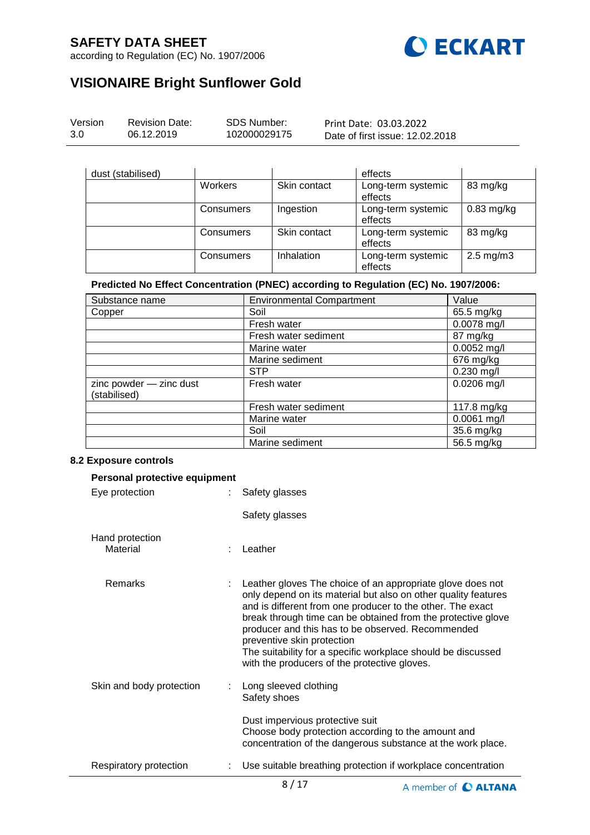

according to Regulation (EC) No. 1907/2006

# **VISIONAIRE Bright Sunflower Gold**

| Version | <b>Revision Date:</b> | SDS Number:  | Print Date: 03.03.2022          |  |
|---------|-----------------------|--------------|---------------------------------|--|
| 3.0     | 06.12.2019            | 102000029175 | Date of first issue: 12.02.2018 |  |

| dust (stabilised) |           |              | effects                       |                      |
|-------------------|-----------|--------------|-------------------------------|----------------------|
|                   | Workers   | Skin contact | Long-term systemic<br>effects | 83 mg/kg             |
|                   | Consumers | Ingestion    | Long-term systemic<br>effects | $0.83$ mg/kg         |
|                   | Consumers | Skin contact | Long-term systemic<br>effects | 83 mg/kg             |
|                   | Consumers | Inhalation   | Long-term systemic<br>effects | $2.5 \text{ mg/m}$ 3 |

## **Predicted No Effect Concentration (PNEC) according to Regulation (EC) No. 1907/2006:**

| Substance name                          | <b>Environmental Compartment</b> | Value         |
|-----------------------------------------|----------------------------------|---------------|
| Copper                                  | Soil                             | 65.5 mg/kg    |
|                                         | Fresh water                      | 0.0078 mg/l   |
|                                         | Fresh water sediment             | 87 mg/kg      |
|                                         | Marine water                     | $0.0052$ mg/l |
|                                         | Marine sediment                  | 676 mg/kg     |
|                                         | <b>STP</b>                       | $0.230$ mg/l  |
| zinc powder - zinc dust<br>(stabilised) | Fresh water                      | $0.0206$ mg/l |
|                                         | Fresh water sediment             | 117.8 mg/kg   |
|                                         | Marine water                     | 0.0061 mg/l   |
|                                         | Soil                             | 35.6 mg/kg    |
|                                         | Marine sediment                  | 56.5 mg/kg    |

#### **8.2 Exposure controls**

| Personal protective equipment |  |                                                                                                                                                                                                                                                                                                                                                                                                                                                               |  |  |  |
|-------------------------------|--|---------------------------------------------------------------------------------------------------------------------------------------------------------------------------------------------------------------------------------------------------------------------------------------------------------------------------------------------------------------------------------------------------------------------------------------------------------------|--|--|--|
| Eye protection                |  | Safety glasses                                                                                                                                                                                                                                                                                                                                                                                                                                                |  |  |  |
|                               |  | Safety glasses                                                                                                                                                                                                                                                                                                                                                                                                                                                |  |  |  |
| Hand protection<br>Material   |  | Leather                                                                                                                                                                                                                                                                                                                                                                                                                                                       |  |  |  |
| Remarks                       |  | Leather gloves The choice of an appropriate glove does not<br>only depend on its material but also on other quality features<br>and is different from one producer to the other. The exact<br>break through time can be obtained from the protective glove<br>producer and this has to be observed. Recommended<br>preventive skin protection<br>The suitability for a specific workplace should be discussed<br>with the producers of the protective gloves. |  |  |  |
| Skin and body protection      |  | Long sleeved clothing<br>Safety shoes                                                                                                                                                                                                                                                                                                                                                                                                                         |  |  |  |
|                               |  | Dust impervious protective suit<br>Choose body protection according to the amount and<br>concentration of the dangerous substance at the work place.                                                                                                                                                                                                                                                                                                          |  |  |  |
| Respiratory protection        |  | Use suitable breathing protection if workplace concentration                                                                                                                                                                                                                                                                                                                                                                                                  |  |  |  |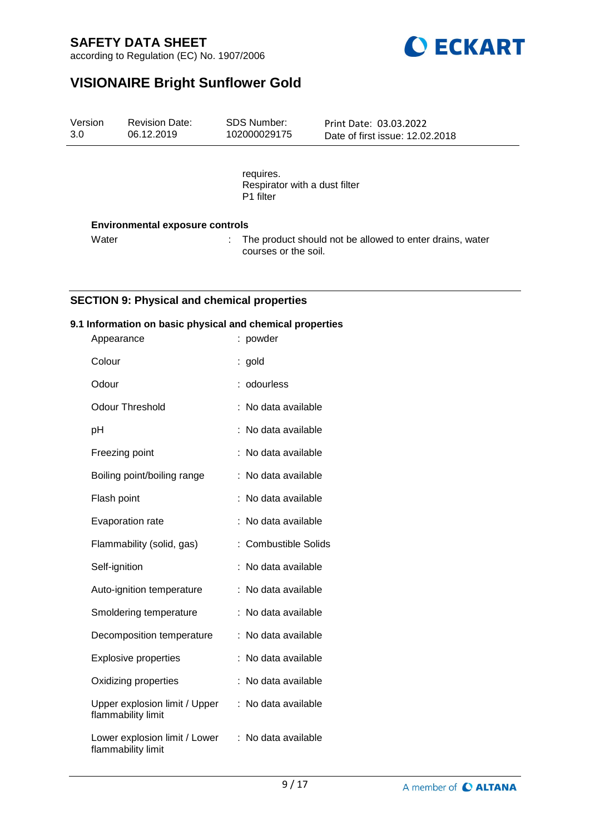according to Regulation (EC) No. 1907/2006



# **VISIONAIRE Bright Sunflower Gold**

requires. Respirator with a dust filter P1 filter

### **Environmental exposure controls**

Water : The product should not be allowed to enter drains, water courses or the soil.

## **SECTION 9: Physical and chemical properties**

#### **9.1 Information on basic physical and chemical properties**

| Appearance                                          | powder                    |
|-----------------------------------------------------|---------------------------|
| Colour                                              | gold                      |
| Odour                                               | odourless                 |
| <b>Odour Threshold</b>                              | No data available         |
| рH                                                  | No data available         |
| Freezing point                                      | No data available         |
| Boiling point/boiling range                         | No data available         |
| Flash point                                         | No data available         |
| Evaporation rate                                    | No data available         |
| Flammability (solid, gas)                           | <b>Combustible Solids</b> |
| Self-ignition                                       | No data available         |
| Auto-ignition temperature                           | No data available         |
| Smoldering temperature                              | No data available         |
| Decomposition temperature                           | No data available         |
| <b>Explosive properties</b>                         | No data available         |
| Oxidizing properties                                | No data available         |
| Upper explosion limit / Upper<br>flammability limit | No data available         |
| Lower explosion limit / Lower<br>flammability limit | No data available         |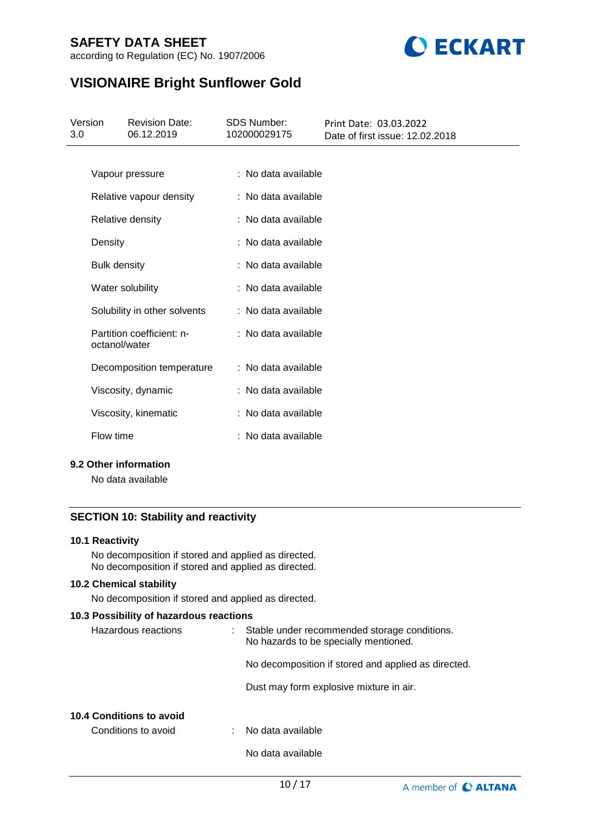according to Regulation (EC) No. 1907/2006



# **VISIONAIRE Bright Sunflower Gold**

| 3.0 | Version             | <b>Revision Date:</b><br>06.12.2019 | <b>SDS Number:</b><br>102000029175 | Print Date: 03.03.2022<br>Date of first issue: 12.02.2018 |
|-----|---------------------|-------------------------------------|------------------------------------|-----------------------------------------------------------|
|     |                     |                                     |                                    |                                                           |
|     |                     | Vapour pressure                     | : No data available                |                                                           |
|     |                     | Relative vapour density             | : No data available                |                                                           |
|     |                     | Relative density                    | : No data available                |                                                           |
|     | Density             |                                     | : No data available                |                                                           |
|     | <b>Bulk density</b> |                                     | : No data available                |                                                           |
|     |                     | Water solubility                    | : No data available                |                                                           |
|     |                     | Solubility in other solvents        | : No data available                |                                                           |
|     | octanol/water       | Partition coefficient: n-           | : No data available                |                                                           |
|     |                     | Decomposition temperature           | : No data available                |                                                           |
|     |                     | Viscosity, dynamic                  | : No data available                |                                                           |
|     |                     | Viscosity, kinematic                | : No data available                |                                                           |
|     | Flow time           |                                     | : No data available                |                                                           |

### **9.2 Other information**

No data available

# **SECTION 10: Stability and reactivity**

### **10.1 Reactivity**

No decomposition if stored and applied as directed. No decomposition if stored and applied as directed.

### **10.2 Chemical stability**

No decomposition if stored and applied as directed.

## **10.3 Possibility of hazardous reactions**

| Hazardous reactions      | Stable under recommended storage conditions.<br>No hazards to be specially mentioned. |
|--------------------------|---------------------------------------------------------------------------------------|
|                          | No decomposition if stored and applied as directed.                                   |
|                          | Dust may form explosive mixture in air.                                               |
| 10.4 Conditions to avoid |                                                                                       |
| Conditions to avoid      | No data available                                                                     |

No data available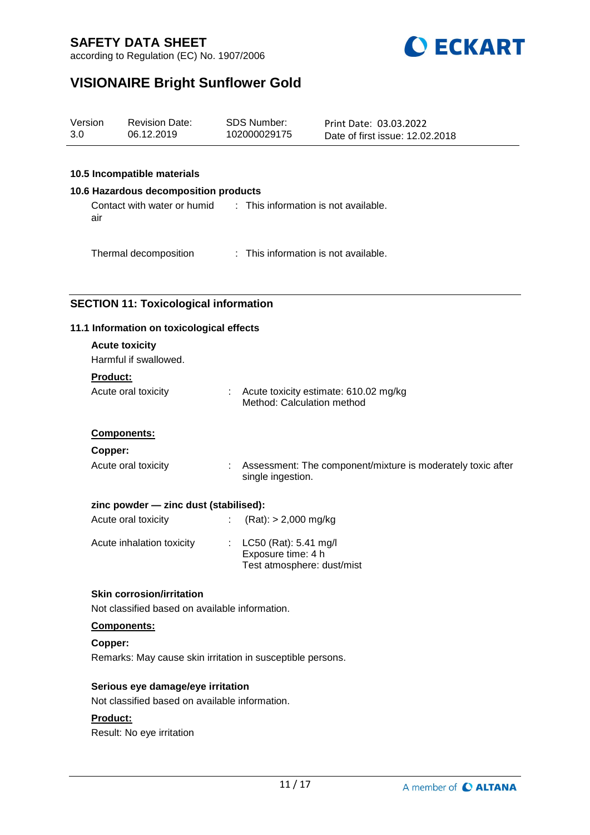



# **VISIONAIRE Bright Sunflower Gold**

| Version | <b>Revision Date:</b> | SDS Number:  | Print Date: 03.03.2022          |
|---------|-----------------------|--------------|---------------------------------|
| 3.0     | 06.12.2019            | 102000029175 | Date of first issue: 12.02.2018 |
|         |                       |              |                                 |

### **10.5 Incompatible materials**

#### **10.6 Hazardous decomposition products**

Contact with water or humid air : This information is not available.

Thermal decomposition : This information is not available.

## **SECTION 11: Toxicological information**

#### **11.1 Information on toxicological effects**

| <b>Acute toxicity</b><br>Harmful if swallowed.<br><b>Product:</b><br>Acute oral toxicity |                  | : Acute toxicity estimate: 610.02 mg/kg<br>Method: Calculation method            |
|------------------------------------------------------------------------------------------|------------------|----------------------------------------------------------------------------------|
| Components:                                                                              |                  |                                                                                  |
| Copper:                                                                                  |                  |                                                                                  |
| Acute oral toxicity                                                                      |                  | Assessment: The component/mixture is moderately toxic after<br>single ingestion. |
| zinc powder - zinc dust (stabilised):                                                    |                  |                                                                                  |
| Acute oral toxicity                                                                      | $\mathbb{Z}^n$ . | $(Rat):$ > 2,000 mg/kg                                                           |
| Acute inhalation toxicity                                                                |                  | : $LC50$ (Rat): 5.41 mg/l<br>Exposure time: 4 h<br>Test atmosphere: dust/mist    |

## **Skin corrosion/irritation**

Not classified based on available information.

### **Components:**

**Copper:** Remarks: May cause skin irritation in susceptible persons.

#### **Serious eye damage/eye irritation**

Not classified based on available information.

#### **Product:**

Result: No eye irritation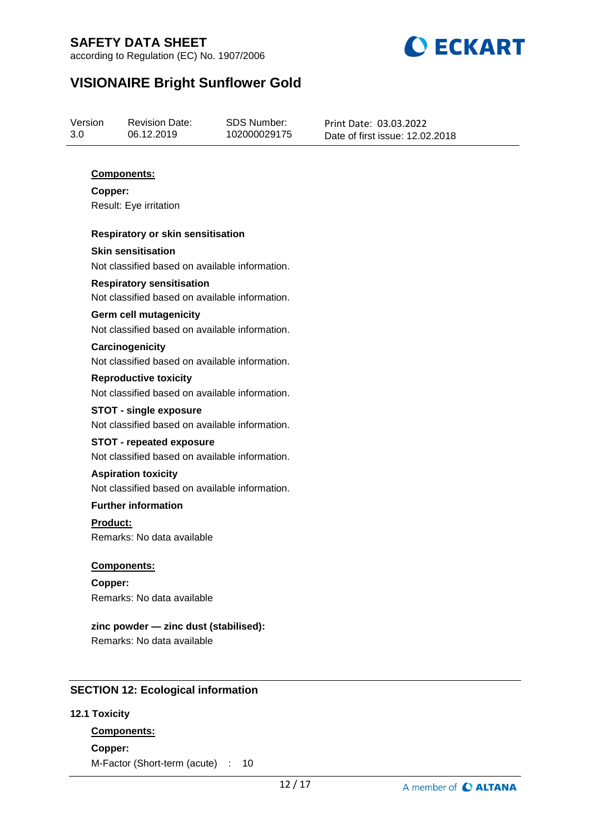according to Regulation (EC) No. 1907/2006



# **VISIONAIRE Bright Sunflower Gold**

| Version | <b>Revision Date:</b> | SDS Number:  | Print Date: 03.03.2022          |
|---------|-----------------------|--------------|---------------------------------|
| 3.0     | 06.12.2019            | 102000029175 | Date of first issue: 12.02.2018 |

## **Components:**

**Copper:** Result: Eye irritation

#### **Respiratory or skin sensitisation**

**Skin sensitisation** Not classified based on available information.

### **Respiratory sensitisation** Not classified based on available information.

#### **Germ cell mutagenicity**

Not classified based on available information.

# **Carcinogenicity**

Not classified based on available information.

### **Reproductive toxicity** Not classified based on available information.

**STOT - single exposure** Not classified based on available information.

### **STOT - repeated exposure**

Not classified based on available information.

## **Aspiration toxicity**

Not classified based on available information.

## **Further information**

**Product:** Remarks: No data available

### **Components:**

**Copper:** Remarks: No data available

# **zinc powder — zinc dust (stabilised):**

Remarks: No data available

### **SECTION 12: Ecological information**

### **12.1 Toxicity**

# **Components:**

**Copper:** M-Factor (Short-term (acute) : 10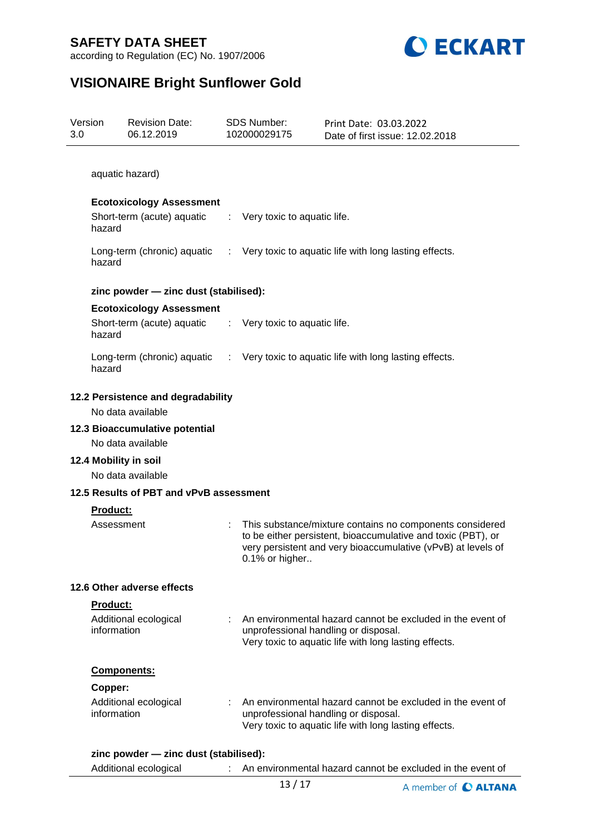



# **VISIONAIRE Bright Sunflower Gold**

| Version<br>3.0 |                 | <b>Revision Date:</b><br>06.12.2019                     |                | <b>SDS Number:</b><br>102000029175 | Print Date: 03.03.2022<br>Date of first issue: 12.02.2018                                                                                                                                |
|----------------|-----------------|---------------------------------------------------------|----------------|------------------------------------|------------------------------------------------------------------------------------------------------------------------------------------------------------------------------------------|
|                |                 |                                                         |                |                                    |                                                                                                                                                                                          |
|                |                 | aquatic hazard)                                         |                |                                    |                                                                                                                                                                                          |
|                |                 | <b>Ecotoxicology Assessment</b>                         |                |                                    |                                                                                                                                                                                          |
|                | hazard          | Short-term (acute) aquatic                              |                | Very toxic to aquatic life.        |                                                                                                                                                                                          |
|                | hazard          | Long-term (chronic) aquatic                             |                |                                    | : Very toxic to aquatic life with long lasting effects.                                                                                                                                  |
|                |                 | zinc powder - zinc dust (stabilised):                   |                |                                    |                                                                                                                                                                                          |
|                |                 | <b>Ecotoxicology Assessment</b>                         |                |                                    |                                                                                                                                                                                          |
|                | hazard          | Short-term (acute) aquatic                              | t.             | Very toxic to aquatic life.        |                                                                                                                                                                                          |
|                | hazard          | Long-term (chronic) aquatic                             | $\sim 10^{-1}$ |                                    | Very toxic to aquatic life with long lasting effects.                                                                                                                                    |
|                |                 | 12.2 Persistence and degradability<br>No data available |                |                                    |                                                                                                                                                                                          |
|                |                 | 12.3 Bioaccumulative potential<br>No data available     |                |                                    |                                                                                                                                                                                          |
|                |                 | 12.4 Mobility in soil<br>No data available              |                |                                    |                                                                                                                                                                                          |
|                |                 | 12.5 Results of PBT and vPvB assessment                 |                |                                    |                                                                                                                                                                                          |
|                | <b>Product:</b> |                                                         |                |                                    |                                                                                                                                                                                          |
|                | Assessment      |                                                         |                | 0.1% or higher                     | This substance/mixture contains no components considered<br>to be either persistent, bioaccumulative and toxic (PBT), or<br>very persistent and very bioaccumulative (vPvB) at levels of |
|                |                 | 12.6 Other adverse effects                              |                |                                    |                                                                                                                                                                                          |
|                | <b>Product:</b> |                                                         |                |                                    |                                                                                                                                                                                          |
|                | information     | Additional ecological                                   |                |                                    | An environmental hazard cannot be excluded in the event of<br>unprofessional handling or disposal.<br>Very toxic to aquatic life with long lasting effects.                              |
|                |                 | <b>Components:</b>                                      |                |                                    |                                                                                                                                                                                          |
|                | Copper:         |                                                         |                |                                    |                                                                                                                                                                                          |
|                | information     | Additional ecological                                   |                |                                    | An environmental hazard cannot be excluded in the event of<br>unprofessional handling or disposal.<br>Very toxic to aquatic life with long lasting effects.                              |
|                |                 | zinc powder - zinc dust (stabilised):                   |                |                                    |                                                                                                                                                                                          |
|                |                 | Additional ecological                                   |                |                                    | An environmental hazard cannot be excluded in the event of                                                                                                                               |
|                |                 |                                                         |                | 13/17                              | A member of <b>C ALTANA</b>                                                                                                                                                              |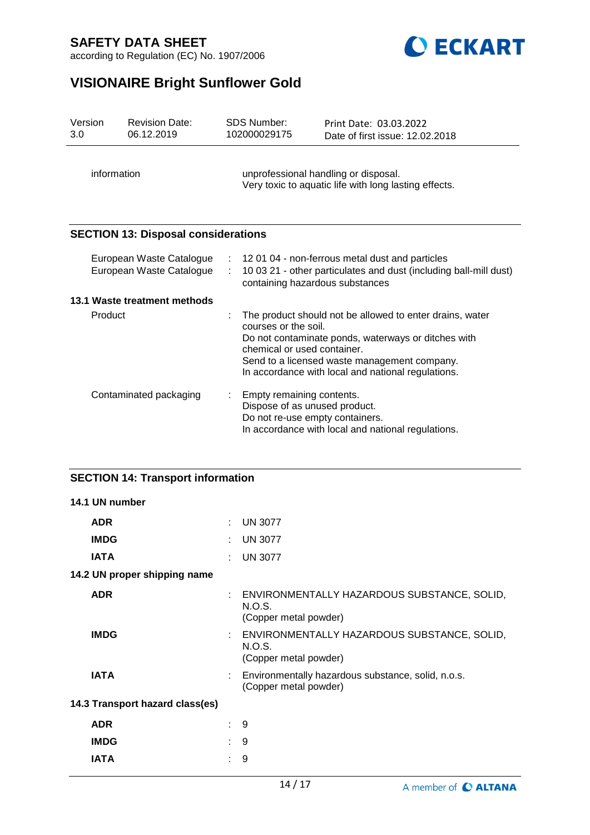

according to Regulation (EC) No. 1907/2006

# **VISIONAIRE Bright Sunflower Gold**

| Version<br>3.0 | <b>Revision Date:</b><br>06.12.2019                  |   | <b>SDS Number:</b><br>102000029175                                                            | Print Date: 03.03.2022<br>Date of first issue: 12.02.2018                                                                                                                                                             |  |
|----------------|------------------------------------------------------|---|-----------------------------------------------------------------------------------------------|-----------------------------------------------------------------------------------------------------------------------------------------------------------------------------------------------------------------------|--|
|                | information                                          |   | unprofessional handling or disposal.<br>Very toxic to aquatic life with long lasting effects. |                                                                                                                                                                                                                       |  |
|                | <b>SECTION 13: Disposal considerations</b>           |   |                                                                                               |                                                                                                                                                                                                                       |  |
|                | European Waste Catalogue<br>European Waste Catalogue | ÷ | containing hazardous substances                                                               | : 12 01 04 - non-ferrous metal dust and particles<br>10 03 21 - other particulates and dust (including ball-mill dust)                                                                                                |  |
|                | 13.1 Waste treatment methods                         |   |                                                                                               |                                                                                                                                                                                                                       |  |
|                | Product                                              |   | courses or the soil.<br>chemical or used container.                                           | The product should not be allowed to enter drains, water<br>Do not contaminate ponds, waterways or ditches with<br>Send to a licensed waste management company.<br>In accordance with local and national regulations. |  |
|                | Contaminated packaging                               |   | Empty remaining contents.<br>Dispose of as unused product.<br>Do not re-use empty containers. | In accordance with local and national regulations.                                                                                                                                                                    |  |

# **SECTION 14: Transport information**

| 14.1 UN number                  |    |                                                                                  |
|---------------------------------|----|----------------------------------------------------------------------------------|
| <b>ADR</b>                      | ÷  | <b>UN 3077</b>                                                                   |
| <b>IMDG</b>                     |    | <b>UN 3077</b>                                                                   |
| <b>IATA</b>                     | ٠. | <b>UN 3077</b>                                                                   |
| 14.2 UN proper shipping name    |    |                                                                                  |
| <b>ADR</b>                      | ÷  | ENVIRONMENTALLY HAZARDOUS SUBSTANCE, SOLID,<br>N.O.S.<br>(Copper metal powder)   |
| <b>IMDG</b>                     |    | : ENVIRONMENTALLY HAZARDOUS SUBSTANCE, SOLID,<br>N.O.S.<br>(Copper metal powder) |
| <b>IATA</b>                     |    | Environmentally hazardous substance, solid, n.o.s.<br>(Copper metal powder)      |
| 14.3 Transport hazard class(es) |    |                                                                                  |
| <b>ADR</b>                      | ÷. | 9                                                                                |
| <b>IMDG</b>                     | t. | 9                                                                                |
| <b>IATA</b>                     |    | 9                                                                                |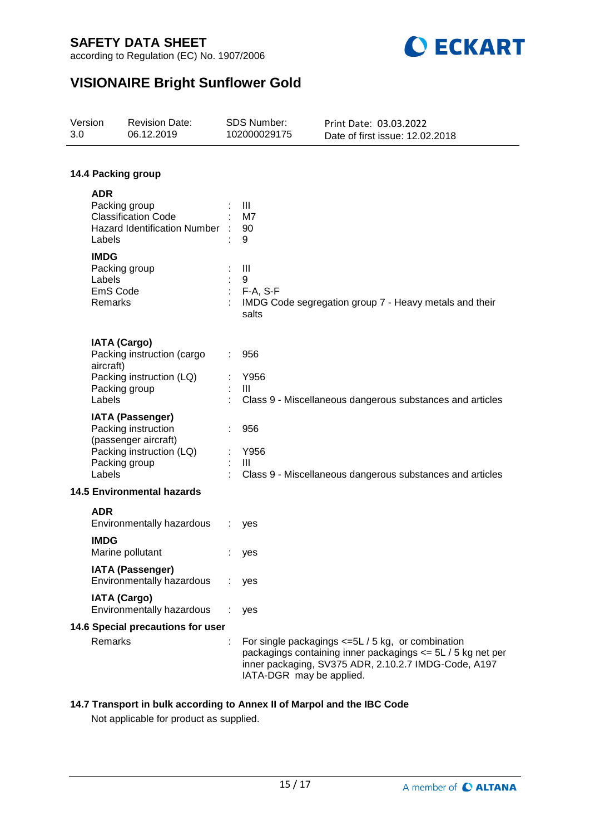



# **VISIONAIRE Bright Sunflower Gold**

| Version<br>3.0 |                                                               | <b>Revision Date:</b><br>06.12.2019                                                                | SDS Number:<br>102000029175     | Print Date: 03.03.2022<br>Date of first issue: 12.02.2018                                                                                                                   |
|----------------|---------------------------------------------------------------|----------------------------------------------------------------------------------------------------|---------------------------------|-----------------------------------------------------------------------------------------------------------------------------------------------------------------------------|
|                |                                                               |                                                                                                    |                                 |                                                                                                                                                                             |
|                |                                                               | 14.4 Packing group                                                                                 |                                 |                                                                                                                                                                             |
|                | <b>ADR</b><br>Packing group<br>Labels                         | <b>Classification Code</b><br><b>Hazard Identification Number</b>                                  | Ш<br>M7<br>90<br>9              |                                                                                                                                                                             |
|                | <b>IMDG</b><br>Packing group<br>Labels<br>EmS Code<br>Remarks |                                                                                                    | III<br>9<br>$F-A, S-F$<br>salts | IMDG Code segregation group 7 - Heavy metals and their                                                                                                                      |
|                | <b>IATA (Cargo)</b><br>aircraft)                              | Packing instruction (cargo                                                                         | 956                             |                                                                                                                                                                             |
|                | Packing group<br>Labels                                       | Packing instruction (LQ)                                                                           | Y956<br>III                     | Class 9 - Miscellaneous dangerous substances and articles                                                                                                                   |
|                | Packing group<br>Labels                                       | <b>IATA (Passenger)</b><br>Packing instruction<br>(passenger aircraft)<br>Packing instruction (LQ) | 956<br>Y956<br>Ш                | Class 9 - Miscellaneous dangerous substances and articles                                                                                                                   |
|                |                                                               | <b>14.5 Environmental hazards</b>                                                                  |                                 |                                                                                                                                                                             |
|                | <b>ADR</b>                                                    | Environmentally hazardous                                                                          | yes                             |                                                                                                                                                                             |
|                | <b>IMDG</b>                                                   | Marine pollutant                                                                                   | yes                             |                                                                                                                                                                             |
|                |                                                               | <b>IATA (Passenger)</b><br>Environmentally hazardous                                               | yes                             |                                                                                                                                                                             |
|                | <b>IATA (Cargo)</b>                                           | Environmentally hazardous                                                                          | yes                             |                                                                                                                                                                             |
|                |                                                               | 14.6 Special precautions for user                                                                  |                                 |                                                                                                                                                                             |
|                | Remarks                                                       |                                                                                                    | IATA-DGR may be applied.        | For single packagings $\leq 5L/5$ kg, or combination<br>packagings containing inner packagings <= 5L / 5 kg net per<br>inner packaging, SV375 ADR, 2.10.2.7 IMDG-Code, A197 |

## **14.7 Transport in bulk according to Annex II of Marpol and the IBC Code**

Not applicable for product as supplied.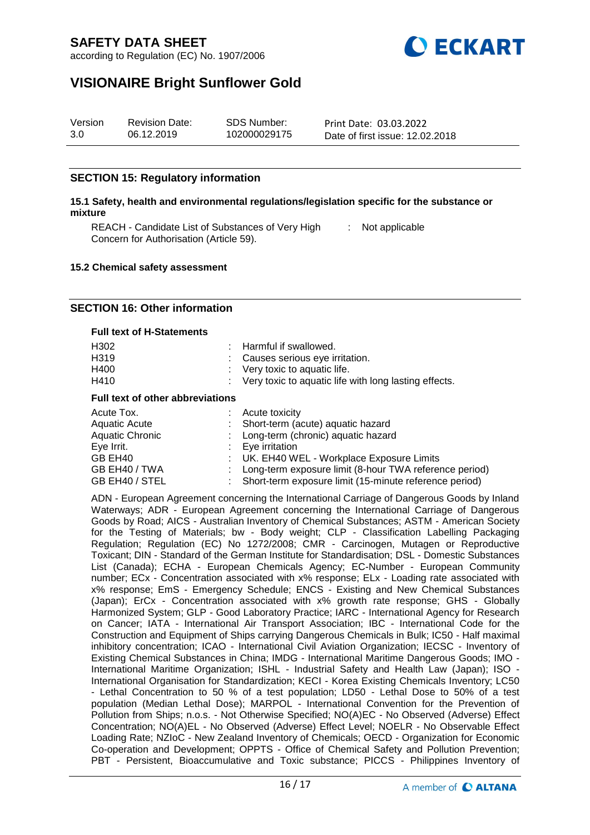



# **VISIONAIRE Bright Sunflower Gold**

| Version | <b>Revision Date:</b> | SDS Number:  | Print Date: 03.03.2022          |
|---------|-----------------------|--------------|---------------------------------|
| 3.0     | 06.12.2019            | 102000029175 | Date of first issue: 12.02.2018 |

## **SECTION 15: Regulatory information**

#### **15.1 Safety, health and environmental regulations/legislation specific for the substance or mixture**

REACH - Candidate List of Substances of Very High [155] Not applicable Concern for Authorisation (Article 59).

#### **15.2 Chemical safety assessment**

#### **SECTION 16: Other information**

#### **Full text of H-Statements**

| H302 | : Harmful if swallowed.                                 |
|------|---------------------------------------------------------|
| H319 | : Causes serious eye irritation.                        |
| H400 | $\therefore$ Very toxic to aquatic life.                |
| H410 | : Very toxic to aquatic life with long lasting effects. |
|      |                                                         |

#### **Full text of other abbreviations**

| : Long-term (chronic) aquatic hazard<br><b>Aquatic Chronic</b>                                                                                          | : Short-term (acute) aquatic hazard<br>Aquatic Acute |  |
|---------------------------------------------------------------------------------------------------------------------------------------------------------|------------------------------------------------------|--|
| Eye Irrit.<br>$: Eye$ irritation<br>: UK. EH40 WEL - Workplace Exposure Limits<br>GB EH40                                                               |                                                      |  |
| GB EH40 / TWA<br>: Long-term exposure limit (8-hour TWA reference period)<br>GB EH40 / STEL<br>: Short-term exposure limit (15-minute reference period) |                                                      |  |

ADN - European Agreement concerning the International Carriage of Dangerous Goods by Inland Waterways; ADR - European Agreement concerning the International Carriage of Dangerous Goods by Road; AICS - Australian Inventory of Chemical Substances; ASTM - American Society for the Testing of Materials; bw - Body weight; CLP - Classification Labelling Packaging Regulation; Regulation (EC) No 1272/2008; CMR - Carcinogen, Mutagen or Reproductive Toxicant; DIN - Standard of the German Institute for Standardisation; DSL - Domestic Substances List (Canada); ECHA - European Chemicals Agency; EC-Number - European Community number; ECx - Concentration associated with x% response; ELx - Loading rate associated with x% response; EmS - Emergency Schedule; ENCS - Existing and New Chemical Substances (Japan); ErCx - Concentration associated with x% growth rate response; GHS - Globally Harmonized System; GLP - Good Laboratory Practice; IARC - International Agency for Research on Cancer; IATA - International Air Transport Association; IBC - International Code for the Construction and Equipment of Ships carrying Dangerous Chemicals in Bulk; IC50 - Half maximal inhibitory concentration; ICAO - International Civil Aviation Organization; IECSC - Inventory of Existing Chemical Substances in China; IMDG - International Maritime Dangerous Goods; IMO - International Maritime Organization; ISHL - Industrial Safety and Health Law (Japan); ISO - International Organisation for Standardization; KECI - Korea Existing Chemicals Inventory; LC50 - Lethal Concentration to 50 % of a test population; LD50 - Lethal Dose to 50% of a test population (Median Lethal Dose); MARPOL - International Convention for the Prevention of Pollution from Ships; n.o.s. - Not Otherwise Specified; NO(A)EC - No Observed (Adverse) Effect Concentration; NO(A)EL - No Observed (Adverse) Effect Level; NOELR - No Observable Effect Loading Rate; NZIoC - New Zealand Inventory of Chemicals; OECD - Organization for Economic Co-operation and Development; OPPTS - Office of Chemical Safety and Pollution Prevention; PBT - Persistent, Bioaccumulative and Toxic substance; PICCS - Philippines Inventory of